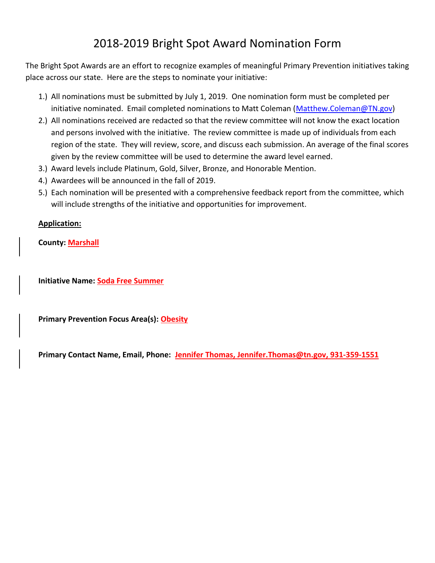## 2018-2019 Bright Spot Award Nomination Form

The Bright Spot Awards are an effort to recognize examples of meaningful Primary Prevention initiatives taking place across our state. Here are the steps to nominate your initiative:

- 1.) All nominations must be submitted by July 1, 2019. One nomination form must be completed per initiative nominated. Email completed nominations to Matt Coleman [\(Matthew.Coleman@TN.gov\)](mailto:Matthew.Coleman@TN.gov)
- 2.) All nominations received are redacted so that the review committee will not know the exact location and persons involved with the initiative. The review committee is made up of individuals from each region of the state. They will review, score, and discuss each submission. An average of the final scores given by the review committee will be used to determine the award level earned.
- 3.) Award levels include Platinum, Gold, Silver, Bronze, and Honorable Mention.
- 4.) Awardees will be announced in the fall of 2019.
- 5.) Each nomination will be presented with a comprehensive feedback report from the committee, which will include strengths of the initiative and opportunities for improvement.

## **Application:**

**County: Marshall** 

**Initiative Name: Soda Free Summer**

**Primary Prevention Focus Area(s): Obesity**

**Primary Contact Name, Email, Phone: Jennifer Thomas, [Jennifer.Thomas@tn.gov,](mailto:Jennifer.Thomas@tn.gov) 931-359-1551**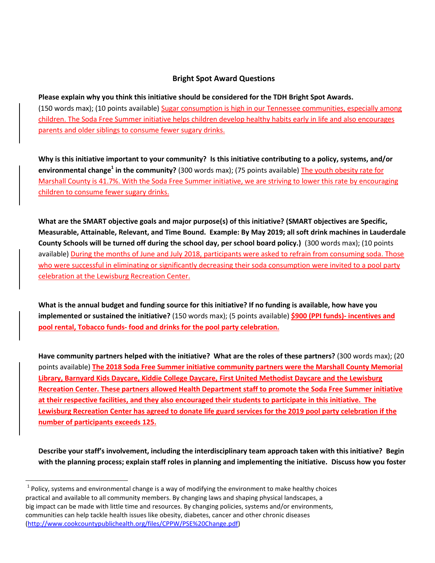## **Bright Spot Award Questions**

**Please explain why you think this initiative should be considered for the TDH Bright Spot Awards.** (150 words max); (10 points available) Sugar consumption is high in our Tennessee communities, especially among children. The Soda Free Summer initiative helps children develop healthy habits early in life and also encourages parents and older siblings to consume fewer sugary drinks.

**Why is this initiative important to your community? Is this initiative contributing to a policy, systems, and/or environmental change<sup>1</sup> in the community?** (300 words max); (75 points available) The youth obesity rate for Marshall County is 41.7%. With the Soda Free Summer initiative, we are striving to lower this rate by encouraging children to consume fewer sugary drinks.

**What are the SMART objective goals and major purpose(s) of this initiative? (SMART objectives are Specific, Measurable, Attainable, Relevant, and Time Bound. Example: By May 2019; all soft drink machines in Lauderdale County Schools will be turned off during the school day, per school board policy.)** (300 words max); (10 points available) During the months of June and July 2018, participants were asked to refrain from consuming soda. Those who were successful in eliminating or significantly decreasing their soda consumption were invited to a pool party celebration at the Lewisburg Recreation Center.

**What is the annual budget and funding source for this initiative? If no funding is available, how have you implemented or sustained the initiative?** (150 words max); (5 points available) **\$900 (PPI funds)- incentives and pool rental, Tobacco funds- food and drinks for the pool party celebration.**

**Have community partners helped with the initiative? What are the roles of these partners?** (300 words max); (20 points available) **The 2018 Soda Free Summer initiative community partners were the Marshall County Memorial Library, Barnyard Kids Daycare, Kiddie College Daycare, First United Methodist Daycare and the Lewisburg Recreation Center. These partners allowed Health Department staff to promote the Soda Free Summer initiative at their respective facilities, and they also encouraged their students to participate in this initiative. The Lewisburg Recreation Center has agreed to donate life guard services for the 2019 pool party celebration if the number of participants exceeds 125.** 

**Describe your staff's involvement, including the interdisciplinary team approach taken with this initiative? Begin with the planning process; explain staff roles in planning and implementing the initiative. Discuss how you foster** 

 $\overline{\phantom{a}}$ 

 $^{1}$  Policy, systems and environmental change is a way of modifying the environment to make healthy choices practical and available to all community members. By changing laws and shaping physical landscapes, a big impact can be made with little time and resources. By changing policies, systems and/or environments, communities can help tackle health issues like obesity, diabetes, cancer and other chronic diseases [\(http://www.cookcountypublichealth.org/files/CPPW/PSE%20Change.pdf\)](http://www.cookcountypublichealth.org/files/CPPW/PSE%20Change.pdf)